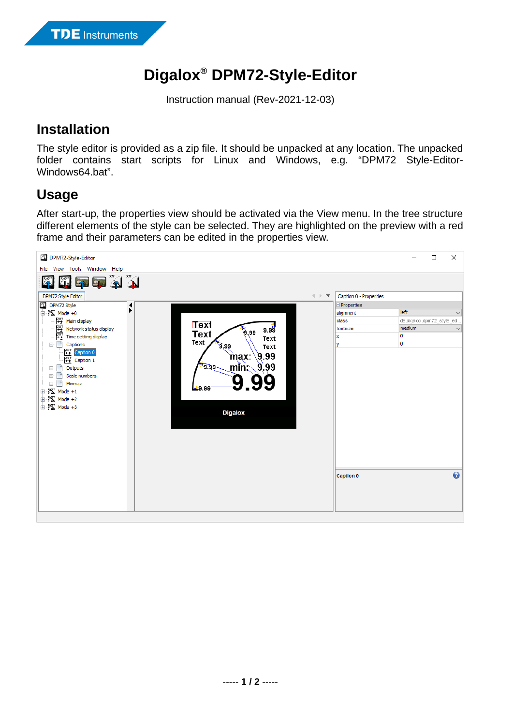## **Digalox® DPM72-Style-Editor**

Instruction manual (Rev-2021-12-03)

## **Installation**

The style editor is provided as a zip file. It should be unpacked at any location. The unpacked folder contains start scripts for Linux and Windows, e.g. "DPM72 Style-Editor-Windows64.bat".

## **Usage**

After start-up, the properties view should be activated via the View menu. In the tree structure different elements of the style can be selected. They are highlighted on the preview with a red frame and their parameters can be edited in the properties view.